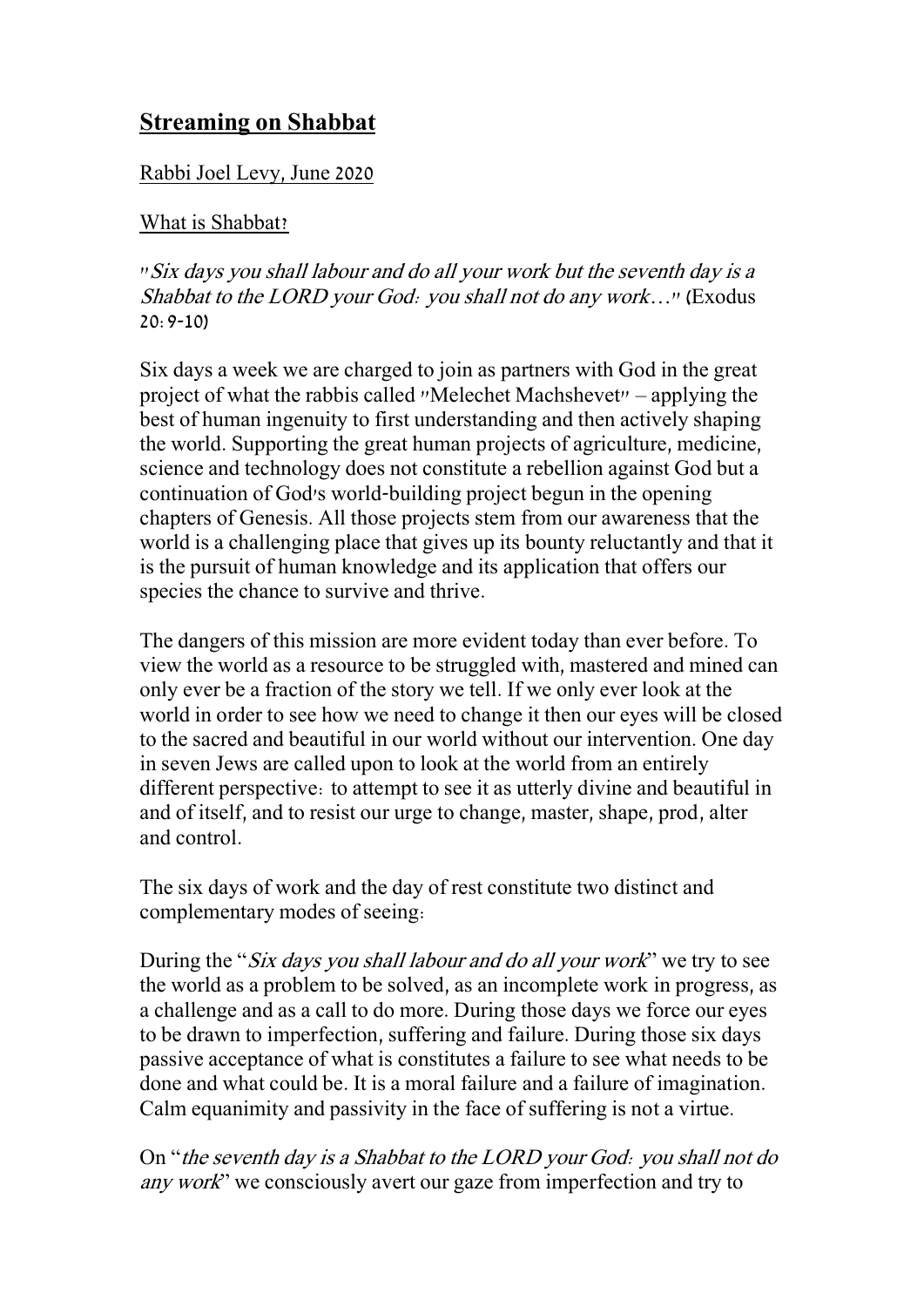## **Streaming on Shabbat**

## Rabbi Joel Levy, June 2020

## What is Shabbat?

"Six days you shall labour and do all your work but the seventh day is a Shabbat to the LORD your God: you shall not do any work…" (Exodus 20:9-10)

Six days a week we are charged to join as partners with God in the great project of what the rabbis called "Melechet Machshevet" – applying the best of human ingenuity to first understanding and then actively shaping the world. Supporting the great human projects of agriculture, medicine, science and technology does not constitute a rebellion against God but a continuation of God's world-building project begun in the opening chapters of Genesis. All those projects stem from our awareness that the world is a challenging place that gives up its bounty reluctantly and that it is the pursuit of human knowledge and its application that offers our species the chance to survive and thrive.

The dangers of this mission are more evident today than ever before. To view the world as a resource to be struggled with, mastered and mined can only ever be a fraction of the story we tell. If we only ever look at the world in order to see how we need to change it then our eyes will be closed to the sacred and beautiful in our world without our intervention. One day in seven Jews are called upon to look at the world from an entirely different perspective: to attempt to see it as utterly divine and beautiful in and of itself, and to resist our urge to change, master, shape, prod, alter and control.

The six days of work and the day of rest constitute two distinct and complementary modes of seeing:

During the "*Six days you shall labour and do all your work*" we try to see the world as a problem to be solved, as an incomplete work in progress, as a challenge and as a call to do more. During those days we force our eyes to be drawn to imperfection, suffering and failure. During those six days passive acceptance of what is constitutes a failure to see what needs to be done and what could be. It is a moral failure and a failure of imagination. Calm equanimity and passivity in the face of suffering is not a virtue.

On "the seventh day is a Shabbat to the LORD your God: you shall not do any work" we consciously avert our gaze from imperfection and try to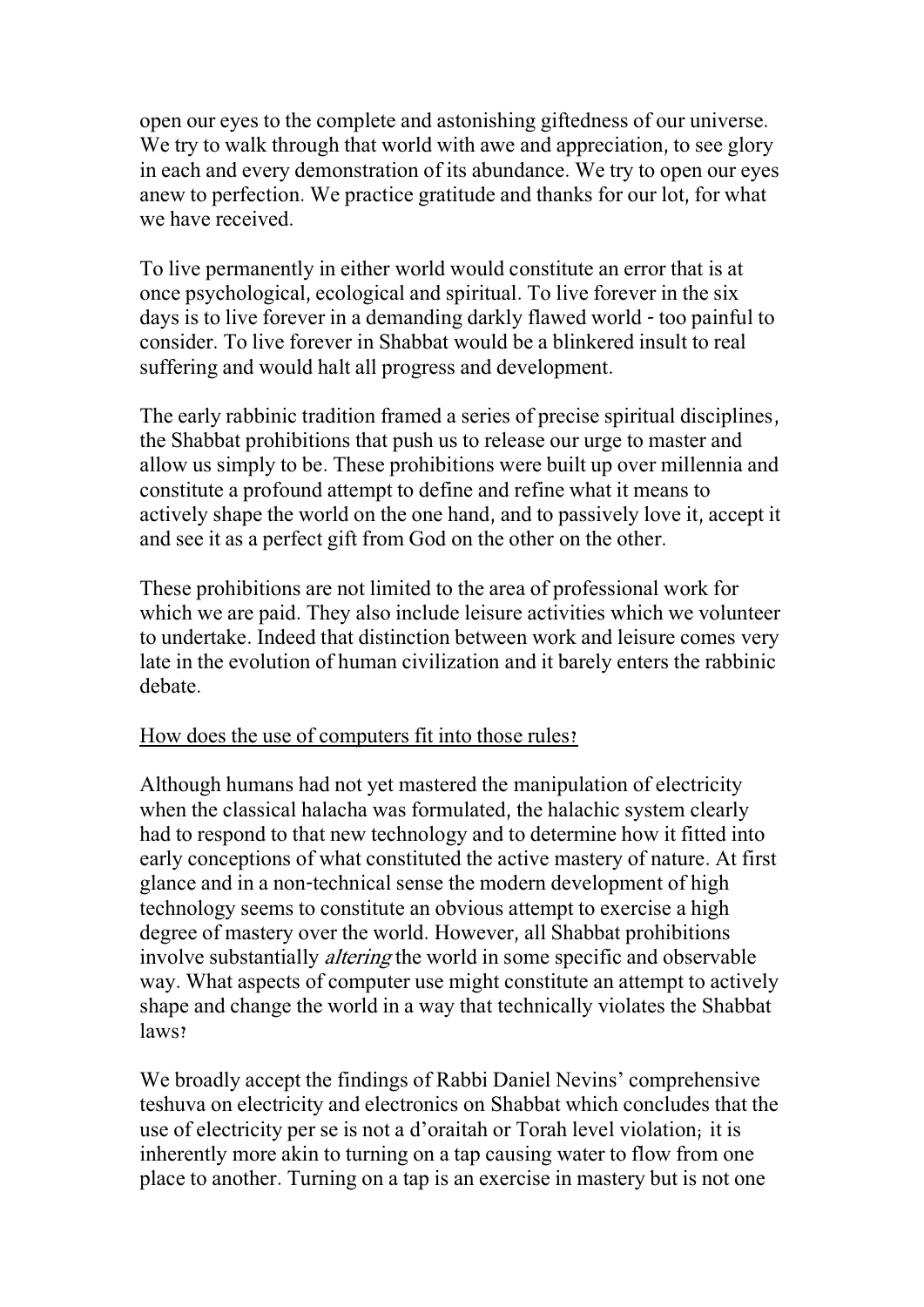open our eyes to the complete and astonishing giftedness of our universe. We try to walk through that world with awe and appreciation, to see glory in each and every demonstration of its abundance. We try to open our eyes anew to perfection. We practice gratitude and thanks for our lot, for what we have received.

To live permanently in either world would constitute an error that is at once psychological, ecological and spiritual. To live forever in the six days is to live forever in a demanding darkly flawed world - too painful to consider. To live forever in Shabbat would be a blinkered insult to real suffering and would halt all progress and development.

The early rabbinic tradition framed a series of precise spiritual disciplines, the Shabbat prohibitions that push us to release our urge to master and allow us simply to be. These prohibitions were built up over millennia and constitute a profound attempt to define and refine what it means to actively shape the world on the one hand, and to passively love it, accept it and see it as a perfect gift from God on the other on the other.

These prohibitions are not limited to the area of professional work for which we are paid. They also include leisure activities which we volunteer to undertake. Indeed that distinction between work and leisure comes very late in the evolution of human civilization and it barely enters the rabbinic debate.

## How does the use of computers fit into those rules?

Although humans had not yet mastered the manipulation of electricity when the classical halacha was formulated, the halachic system clearly had to respond to that new technology and to determine how it fitted into early conceptions of what constituted the active mastery of nature. At first glance and in a non-technical sense the modern development of high technology seems to constitute an obvious attempt to exercise a high degree of mastery over the world. However, all Shabbat prohibitions involve substantially altering the world in some specific and observable way. What aspects of computer use might constitute an attempt to actively shape and change the world in a way that technically violates the Shabbat laws?

We broadly accept the findings of Rabbi Daniel Nevins' comprehensive teshuva on electricity and electronics on Shabbat which concludes that the use of electricity per se is not a d'oraitah or Torah level violation; it is inherently more akin to turning on a tap causing water to flow from one place to another. Turning on a tap is an exercise in mastery but is not one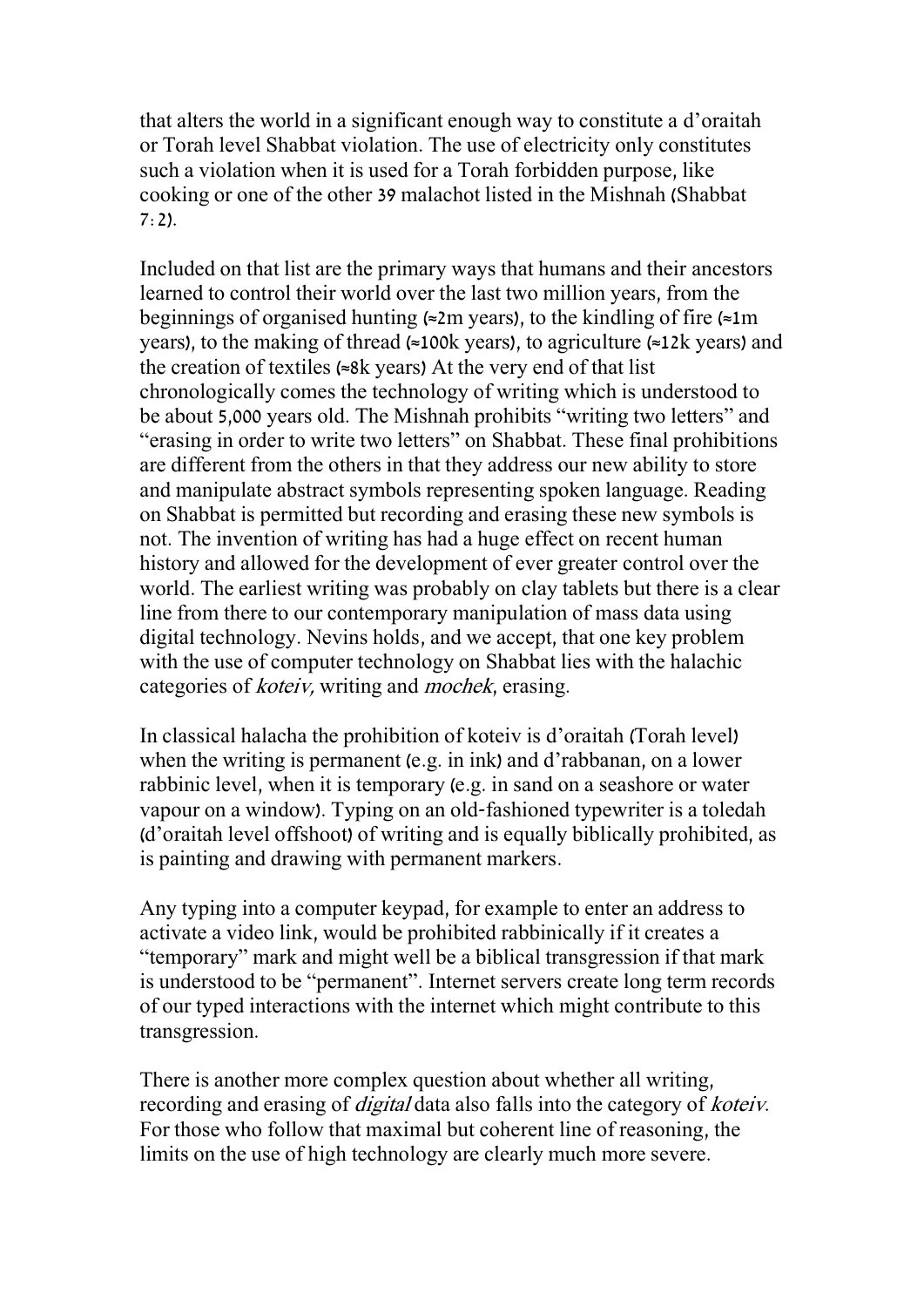that alters the world in a significant enough way to constitute a d'oraitah or Torah level Shabbat violation. The use of electricity only constitutes such a violation when it is used for a Torah forbidden purpose, like cooking or one of the other 39 malachot listed in the Mishnah (Shabbat  $7:2$ ).

Included on that list are the primary ways that humans and their ancestors learned to control their world over the last two million years, from the beginnings of organised hunting ( $\approx$ 2m years), to the kindling of fire ( $\approx$ 1m years), to the making of thread (≈100k years), to agriculture (≈12k years) and the creation of textiles (≈8k years) At the very end of that list chronologically comes the technology of writing which is understood to be about 5,000 years old. The Mishnah prohibits "writing two letters" and "erasing in order to write two letters" on Shabbat. These final prohibitions are different from the others in that they address our new ability to store and manipulate abstract symbols representing spoken language. Reading on Shabbat is permitted but recording and erasing these new symbols is not. The invention of writing has had a huge effect on recent human history and allowed for the development of ever greater control over the world. The earliest writing was probably on clay tablets but there is a clear line from there to our contemporary manipulation of mass data using digital technology. Nevins holds, and we accept, that one key problem with the use of computer technology on Shabbat lies with the halachic categories of koteiv, writing and mochek, erasing.

In classical halacha the prohibition of koteiv is d'oraitah (Torah level) when the writing is permanent (e.g. in ink) and d'rabbanan, on a lower rabbinic level, when it is temporary (e.g. in sand on a seashore or water vapour on a window). Typing on an old-fashioned typewriter is a toledah (d'oraitah level offshoot) of writing and is equally biblically prohibited, as is painting and drawing with permanent markers.

Any typing into a computer keypad, for example to enter an address to activate a video link, would be prohibited rabbinically if it creates a "temporary" mark and might well be a biblical transgression if that mark is understood to be "permanent". Internet servers create long term records of our typed interactions with the internet which might contribute to this transgression.

There is another more complex question about whether all writing, recording and erasing of *digital* data also falls into the category of *koteiv*. For those who follow that maximal but coherent line of reasoning, the limits on the use of high technology are clearly much more severe.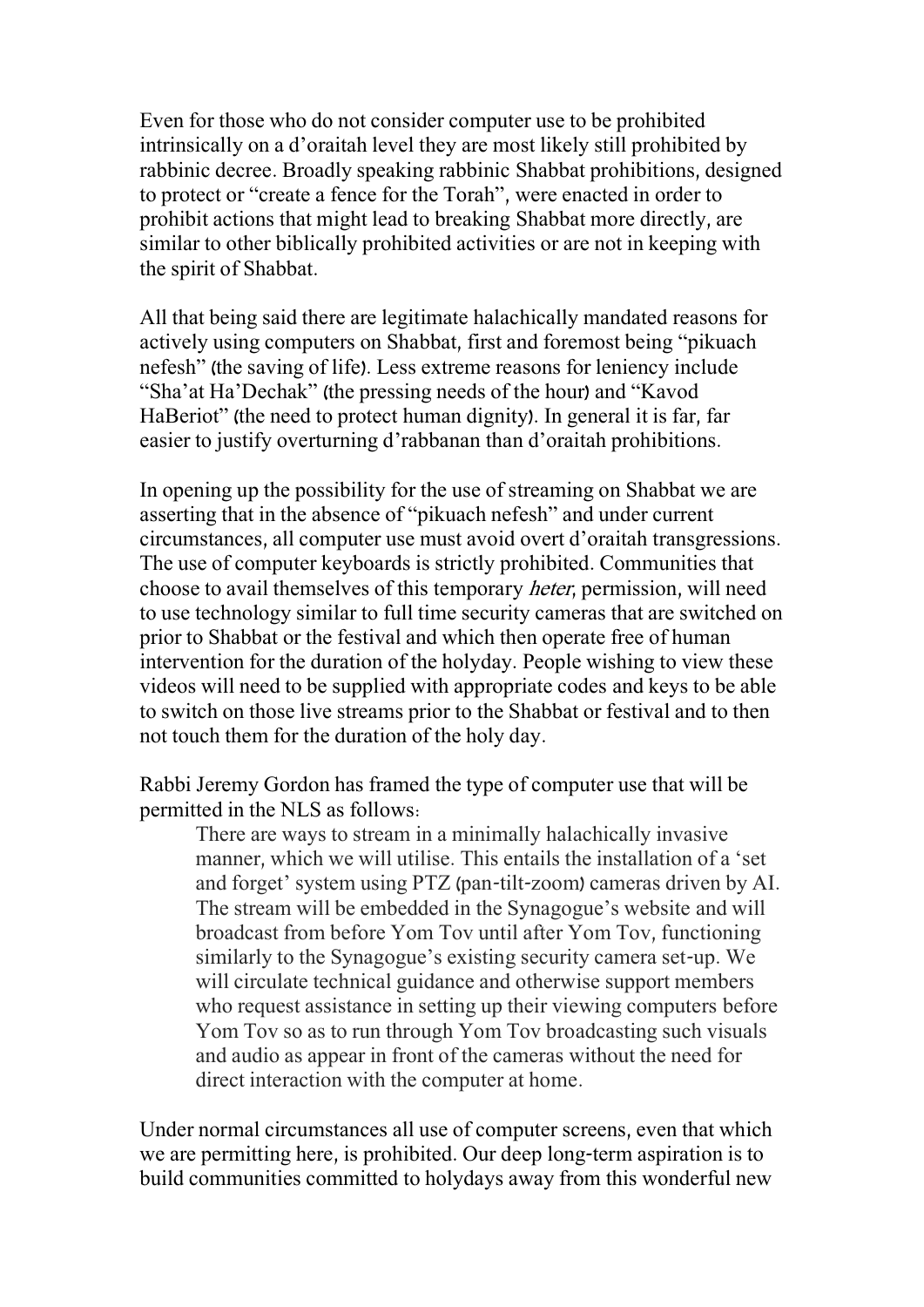Even for those who do not consider computer use to be prohibited intrinsically on a d'oraitah level they are most likely still prohibited by rabbinic decree. Broadly speaking rabbinic Shabbat prohibitions, designed to protect or "create a fence for the Torah", were enacted in order to prohibit actions that might lead to breaking Shabbat more directly, are similar to other biblically prohibited activities or are not in keeping with the spirit of Shabbat.

All that being said there are legitimate halachically mandated reasons for actively using computers on Shabbat, first and foremost being "pikuach nefesh" (the saving of life). Less extreme reasons for leniency include "Sha'at Ha'Dechak" (the pressing needs of the hour) and "Kavod HaBeriot" (the need to protect human dignity). In general it is far, far easier to justify overturning d'rabbanan than d'oraitah prohibitions.

In opening up the possibility for the use of streaming on Shabbat we are asserting that in the absence of "pikuach nefesh" and under current circumstances, all computer use must avoid overt d'oraitah transgressions. The use of computer keyboards is strictly prohibited. Communities that choose to avail themselves of this temporary heter, permission, will need to use technology similar to full time security cameras that are switched on prior to Shabbat or the festival and which then operate free of human intervention for the duration of the holyday. People wishing to view these videos will need to be supplied with appropriate codes and keys to be able to switch on those live streams prior to the Shabbat or festival and to then not touch them for the duration of the holy day.

Rabbi Jeremy Gordon has framed the type of computer use that will be permitted in the NLS as follows:

There are ways to stream in a minimally halachically invasive manner, which we will utilise. This entails the installation of a 'set and forget' system using PTZ (pan-tilt-zoom) cameras driven by AI. The stream will be embedded in the Synagogue's website and will broadcast from before Yom Tov until after Yom Tov, functioning similarly to the Synagogue's existing security camera set-up. We will circulate technical guidance and otherwise support members who request assistance in setting up their viewing computers before Yom Tov so as to run through Yom Tov broadcasting such visuals and audio as appear in front of the cameras without the need for direct interaction with the computer at home.

Under normal circumstances all use of computer screens, even that which we are permitting here, is prohibited. Our deep long-term aspiration is to build communities committed to holydays away from this wonderful new